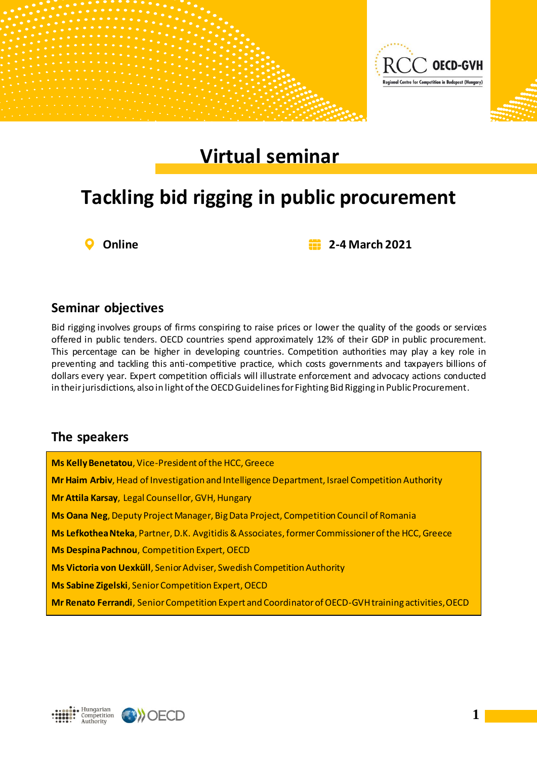

# **Virtual seminar**

# **Tackling bid rigging in public procurement**

**Online 2-4 March 2021**

#### **Seminar objectives**

Bid rigging involves groups of firms conspiring to raise prices or lower the quality of the goods or services offered in public tenders. OECD countries spend approximately 12% of their GDP in public procurement. This percentage can be higher in developing countries. Competition authorities may play a key role in preventing and tackling this anti-competitive practice, which costs governments and taxpayers billions of dollars every year. Expert competition officials will illustrate enforcement and advocacy actions conducted in their jurisdictions, also in light of the OECD Guidelines for Fighting Bid Rigging in Public Procurement.

### **The speakers**

**Ms Kelly Benetatou**, Vice-President of the HCC, Greece **Mr Haim Arbiv**, Head of Investigation and Intelligence Department, Israel Competition Authority **Mr Attila Karsay**, Legal Counsellor, GVH, Hungary **Ms Oana Neg**, Deputy Project Manager, Big Data Project, Competition Council of Romania **Ms Lefkothea Nteka**, Partner, D.Κ. Avgitidis&Associates,former Commissioner of the HCC, Greece **Ms Despina Pachnou**, Competition Expert, OECD **Ms Victoria von Uexküll**, Senior Adviser, Swedish Competition Authority **Ms Sabine Zigelski**, Senior Competition Expert, OECD **Mr Renato Ferrandi**, Senior Competition Expert and Coordinator of OECD-GVH training activities, OECD



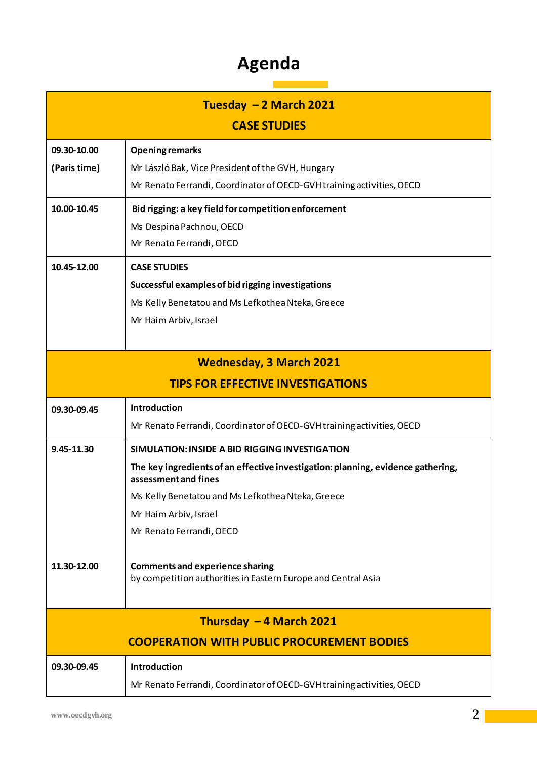### **Agenda**

| Tuesday $-2$ March 2021                           |                                                                                                          |  |
|---------------------------------------------------|----------------------------------------------------------------------------------------------------------|--|
|                                                   | <b>CASE STUDIES</b>                                                                                      |  |
| 09.30-10.00                                       | <b>Opening remarks</b>                                                                                   |  |
| (Paris time)                                      | Mr László Bak, Vice President of the GVH, Hungary                                                        |  |
|                                                   | Mr Renato Ferrandi, Coordinator of OECD-GVH training activities, OECD                                    |  |
| 10.00-10.45                                       | Bid rigging: a key field for competition enforcement                                                     |  |
|                                                   | Ms Despina Pachnou, OECD                                                                                 |  |
|                                                   | Mr Renato Ferrandi, OECD                                                                                 |  |
| 10.45-12.00                                       | <b>CASE STUDIES</b>                                                                                      |  |
|                                                   | Successful examples of bid rigging investigations                                                        |  |
|                                                   | Ms Kelly Benetatou and Ms Lefkothea Nteka, Greece                                                        |  |
|                                                   | Mr Haim Arbiv, Israel                                                                                    |  |
|                                                   |                                                                                                          |  |
| <b>Wednesday, 3 March 2021</b>                    |                                                                                                          |  |
|                                                   | <b>TIPS FOR EFFECTIVE INVESTIGATIONS</b>                                                                 |  |
| 09.30-09.45                                       | Introduction                                                                                             |  |
|                                                   | Mr Renato Ferrandi, Coordinator of OECD-GVH training activities, OECD                                    |  |
| 9.45-11.30                                        | SIMULATION: INSIDE A BID RIGGING INVESTIGATION                                                           |  |
|                                                   | The key ingredients of an effective investigation: planning, evidence gathering,<br>assessment and fines |  |
|                                                   | Ms Kelly Benetatou and Ms Lefkothea Nteka, Greece                                                        |  |
|                                                   | Mr Haim Arbiv, Israel                                                                                    |  |
|                                                   | Mr Renato Ferrandi, OECD                                                                                 |  |
|                                                   |                                                                                                          |  |
| 11.30-12.00                                       | <b>Comments and experience sharing</b>                                                                   |  |
|                                                   | by competition authorities in Eastern Europe and Central Asia                                            |  |
|                                                   |                                                                                                          |  |
| Thursday $-4$ March 2021                          |                                                                                                          |  |
| <b>COOPERATION WITH PUBLIC PROCUREMENT BODIES</b> |                                                                                                          |  |
| 09.30-09.45                                       | Introduction                                                                                             |  |
|                                                   | Mr Renato Ferrandi, Coordinator of OECD-GVH training activities, OECD                                    |  |